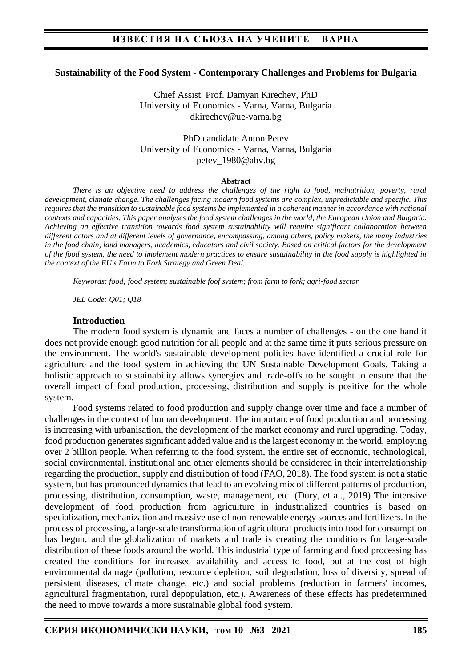### **Sustainability of the Food System - Contemporary Challenges and Problems for Bulgaria**

Chief Assist. Prof. Damyan Kirechev, PhD University of Economics - Varna, Varna, Bulgaria dkirechev@ue-varna.bg

PhD candidate Anton Petev University of Economics - Varna, Varna, Bulgaria petev\_1980@abv.bg

#### **Abstract**

*There is an objective need to address the challenges of the right to food, malnutrition, poverty, rural development, climate change. The challenges facing modern food systems are complex, unpredictable and specific. This requires that the transition to sustainable food systems be implemented in a coherent manner in accordance with national contexts and capacities. This paper analyses the food system challenges in the world, the European Union and Bulgaria. Achieving an effective transition towards food system sustainability will require significant collaboration between different actors and at different levels of governance, encompassing, among others, policy makers, the many industries in the food chain, land managers, academics, educators and civil society. Based on critical factors for the development of the food system, the need to implement modern practices to ensure sustainability in the food supply is highlighted in the context of the EU's Farm to Fork Strategy and Green Deal.*

*Keywords: food; food system; sustainable foof system; from farm to fork; agri-food sector*

*JEL Code: Q01; Q18*

#### **Introduction**

The modern food system is dynamic and faces a number of challenges - on the one hand it does not provide enough good nutrition for all people and at the same time it puts serious pressure on the environment. The world's sustainable development policies have identified a crucial role for agriculture and the food system in achieving the UN Sustainable Development Goals. Taking a holistic approach to sustainability allows synergies and trade-offs to be sought to ensure that the overall impact of food production, processing, distribution and supply is positive for the whole system.

Food systems related to food production and supply change over time and face a number of challenges in the context of human development. The importance of food production and processing is increasing with urbanisation, the development of the market economy and rural upgrading. Today, food production generates significant added value and is the largest economy in the world, employing over 2 billion people. When referring to the food system, the entire set of economic, technological, social environmental, institutional and other elements should be considered in their interrelationship regarding the production, supply and distribution of food (FAO, 2018). The food system is not a static system, but has pronounced dynamics that lead to an evolving mix of different patterns of production, processing, distribution, consumption, waste, management, etc. (Dury, et al., 2019) The intensive development of food production from agriculture in industrialized countries is based on specialization, mechanization and massive use of non-renewable energy sources and fertilizers. In the process of processing, a large-scale transformation of agricultural products into food for consumption has begun, and the globalization of markets and trade is creating the conditions for large-scale distribution of these foods around the world. This industrial type of farming and food processing has created the conditions for increased availability and access to food, but at the cost of high environmental damage (pollution, resource depletion, soil degradation, loss of diversity, spread of persistent diseases, climate change, etc.) and social problems (reduction in farmers' incomes, agricultural fragmentation, rural depopulation, etc.). Awareness of these effects has predetermined the need to move towards a more sustainable global food system.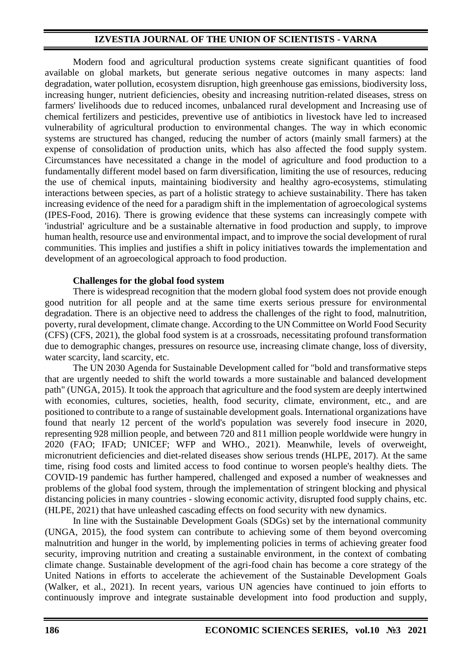Modern food and agricultural production systems create significant quantities of food available on global markets, but generate serious negative outcomes in many aspects: land degradation, water pollution, ecosystem disruption, high greenhouse gas emissions, biodiversity loss, increasing hunger, nutrient deficiencies, obesity and increasing nutrition-related diseases, stress on farmers' livelihoods due to reduced incomes, unbalanced rural development and Increasing use of chemical fertilizers and pesticides, preventive use of antibiotics in livestock have led to increased vulnerability of agricultural production to environmental changes. The way in which economic systems are structured has changed, reducing the number of actors (mainly small farmers) at the expense of consolidation of production units, which has also affected the food supply system. Circumstances have necessitated a change in the model of agriculture and food production to a fundamentally different model based on farm diversification, limiting the use of resources, reducing the use of chemical inputs, maintaining biodiversity and healthy agro-ecosystems, stimulating interactions between species, as part of a holistic strategy to achieve sustainability. There has taken increasing evidence of the need for a paradigm shift in the implementation of agroecological systems (IPES-Food, 2016). There is growing evidence that these systems can increasingly compete with 'industrial' agriculture and be a sustainable alternative in food production and supply, to improve human health, resource use and environmental impact, and to improve the social development of rural communities. This implies and justifies a shift in policy initiatives towards the implementation and development of an agroecological approach to food production.

## **Challenges for the global food system**

There is widespread recognition that the modern global food system does not provide enough good nutrition for all people and at the same time exerts serious pressure for environmental degradation. There is an objective need to address the challenges of the right to food, malnutrition, poverty, rural development, climate change. According to the UN Committee on World Food Security (CFS) (CFS, 2021), the global food system is at a crossroads, necessitating profound transformation due to demographic changes, pressures on resource use, increasing climate change, loss of diversity, water scarcity, land scarcity, etc.

The UN 2030 Agenda for Sustainable Development called for "bold and transformative steps that are urgently needed to shift the world towards a more sustainable and balanced development path" (UNGA, 2015). It took the approach that agriculture and the food system are deeply intertwined with economies, cultures, societies, health, food security, climate, environment, etc., and are positioned to contribute to a range of sustainable development goals. International organizations have found that nearly 12 percent of the world's population was severely food insecure in 2020, representing 928 million people, and between 720 and 811 million people worldwide were hungry in 2020 (FAO; IFAD; UNICEF; WFP and WHO., 2021). Meanwhile, levels of overweight, micronutrient deficiencies and diet-related diseases show serious trends (HLPE, 2017). At the same time, rising food costs and limited access to food continue to worsen people's healthy diets. The COVID-19 pandemic has further hampered, challenged and exposed a number of weaknesses and problems of the global food system, through the implementation of stringent blocking and physical distancing policies in many countries - slowing economic activity, disrupted food supply chains, etc. (HLPE, 2021) that have unleashed cascading effects on food security with new dynamics.

In line with the Sustainable Development Goals (SDGs) set by the international community (UNGA, 2015), the food system can contribute to achieving some of them beyond overcoming malnutrition and hunger in the world, by implementing policies in terms of achieving greater food security, improving nutrition and creating a sustainable environment, in the context of combating climate change. Sustainable development of the agri-food chain has become a core strategy of the United Nations in efforts to accelerate the achievement of the Sustainable Development Goals (Walker, et al., 2021). In recent years, various UN agencies have continued to join efforts to continuously improve and integrate sustainable development into food production and supply,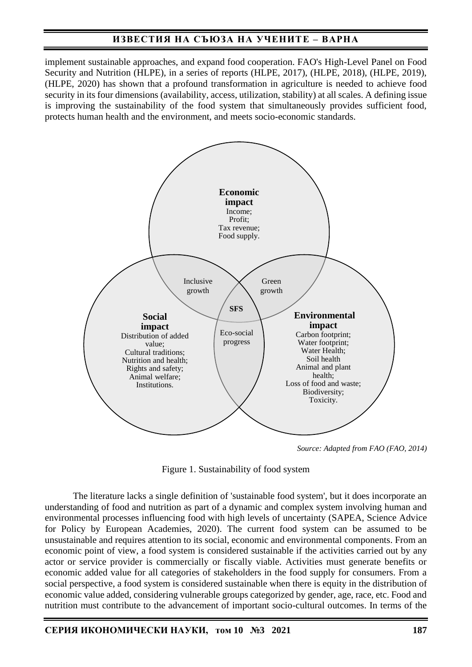implement sustainable approaches, and expand food cooperation. FAO's High-Level Panel on Food Security and Nutrition (HLPE), in a series of reports (HLPE, 2017), (HLPE, 2018), (HLPE, 2019), (HLPE, 2020) has shown that a profound transformation in agriculture is needed to achieve food security in its four dimensions (availability, access, utilization, stability) at all scales. A defining issue is improving the sustainability of the food system that simultaneously provides sufficient food, protects human health and the environment, and meets socio-economic standards.



*Source: Adapted from FAO (FAO, 2014)*

Figure 1. Sustainability of food system

The literature lacks a single definition of 'sustainable food system', but it does incorporate an understanding of food and nutrition as part of a dynamic and complex system involving human and environmental processes influencing food with high levels of uncertainty (SAPEA, Science Advice for Policy by European Academies, 2020). The current food system can be assumed to be unsustainable and requires attention to its social, economic and environmental components. From an economic point of view, a food system is considered sustainable if the activities carried out by any actor or service provider is commercially or fiscally viable. Activities must generate benefits or economic added value for all categories of stakeholders in the food supply for consumers. From a social perspective, a food system is considered sustainable when there is equity in the distribution of economic value added, considering vulnerable groups categorized by gender, age, race, etc. Food and nutrition must contribute to the advancement of important socio-cultural outcomes. In terms of the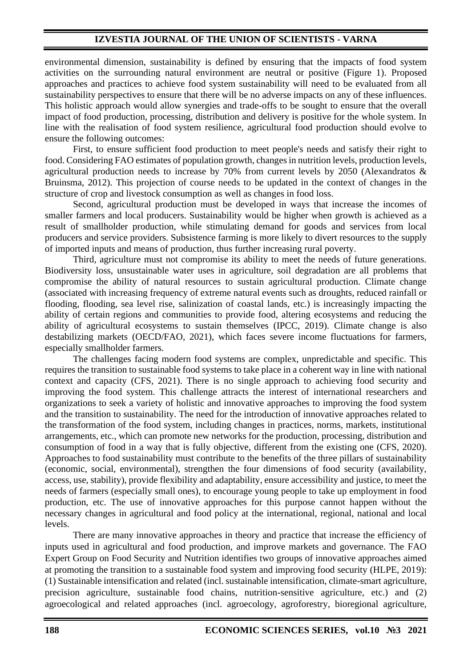environmental dimension, sustainability is defined by ensuring that the impacts of food system activities on the surrounding natural environment are neutral or positive (Figure 1). Proposed approaches and practices to achieve food system sustainability will need to be evaluated from all sustainability perspectives to ensure that there will be no adverse impacts on any of these influences. This holistic approach would allow synergies and trade-offs to be sought to ensure that the overall impact of food production, processing, distribution and delivery is positive for the whole system. In line with the realisation of food system resilience, agricultural food production should evolve to ensure the following outcomes:

First, to ensure sufficient food production to meet people's needs and satisfy their right to food. Considering FAO estimates of population growth, changes in nutrition levels, production levels, agricultural production needs to increase by 70% from current levels by 2050 (Alexandratos & Bruinsma, 2012). This projection of course needs to be updated in the context of changes in the structure of crop and livestock consumption as well as changes in food loss.

Second, agricultural production must be developed in ways that increase the incomes of smaller farmers and local producers. Sustainability would be higher when growth is achieved as a result of smallholder production, while stimulating demand for goods and services from local producers and service providers. Subsistence farming is more likely to divert resources to the supply of imported inputs and means of production, thus further increasing rural poverty.

Third, agriculture must not compromise its ability to meet the needs of future generations. Biodiversity loss, unsustainable water uses in agriculture, soil degradation are all problems that compromise the ability of natural resources to sustain agricultural production. Climate change (associated with increasing frequency of extreme natural events such as droughts, reduced rainfall or flooding, flooding, sea level rise, salinization of coastal lands, etc.) is increasingly impacting the ability of certain regions and communities to provide food, altering ecosystems and reducing the ability of agricultural ecosystems to sustain themselves (IPCC, 2019). Climate change is also destabilizing markets (OECD/FAO, 2021), which faces severe income fluctuations for farmers, especially smallholder farmers.

The challenges facing modern food systems are complex, unpredictable and specific. This requires the transition to sustainable food systems to take place in a coherent way in line with national context and capacity (CFS, 2021). There is no single approach to achieving food security and improving the food system. This challenge attracts the interest of international researchers and organizations to seek a variety of holistic and innovative approaches to improving the food system and the transition to sustainability. The need for the introduction of innovative approaches related to the transformation of the food system, including changes in practices, norms, markets, institutional arrangements, etc., which can promote new networks for the production, processing, distribution and consumption of food in a way that is fully objective, different from the existing one (CFS, 2020). Approaches to food sustainability must contribute to the benefits of the three pillars of sustainability (economic, social, environmental), strengthen the four dimensions of food security (availability, access, use, stability), provide flexibility and adaptability, ensure accessibility and justice, to meet the needs of farmers (especially small ones), to encourage young people to take up employment in food production, etc. The use of innovative approaches for this purpose cannot happen without the necessary changes in agricultural and food policy at the international, regional, national and local levels.

There are many innovative approaches in theory and practice that increase the efficiency of inputs used in agricultural and food production, and improve markets and governance. The FAO Expert Group on Food Security and Nutrition identifies two groups of innovative approaches aimed at promoting the transition to a sustainable food system and improving food security (HLPE, 2019): (1) Sustainable intensification and related (incl. sustainable intensification, climate-smart agriculture, precision agriculture, sustainable food chains, nutrition-sensitive agriculture, etc.) and (2) agroecological and related approaches (incl. agroecology, agroforestry, bioregional agriculture,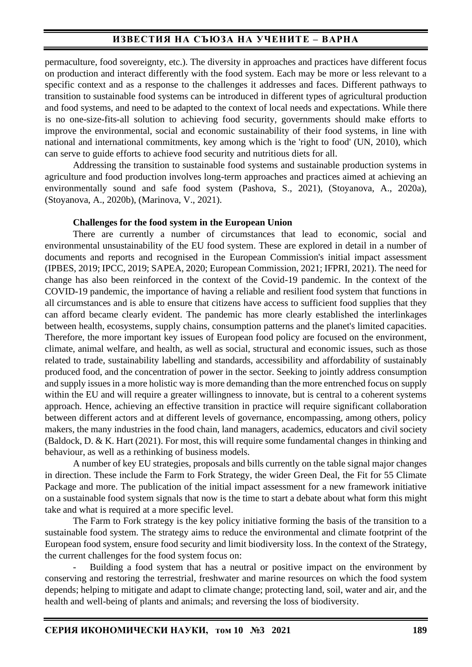permaculture, food sovereignty, etc.). The diversity in approaches and practices have different focus on production and interact differently with the food system. Each may be more or less relevant to a specific context and as a response to the challenges it addresses and faces. Different pathways to transition to sustainable food systems can be introduced in different types of agricultural production and food systems, and need to be adapted to the context of local needs and expectations. While there is no one-size-fits-all solution to achieving food security, governments should make efforts to improve the environmental, social and economic sustainability of their food systems, in line with national and international commitments, key among which is the 'right to food' (UN, 2010), which can serve to guide efforts to achieve food security and nutritious diets for all.

Addressing the transition to sustainable food systems and sustainable production systems in agriculture and food production involves long-term approaches and practices aimed at achieving an environmentally sound and safe food system (Pashova, S., 2021), (Stoyanova, A., 2020a), (Stoyanova, A., 2020b), (Marinova, V., 2021).

#### **Challenges for the food system in the European Union**

There are currently a number of circumstances that lead to economic, social and environmental unsustainability of the EU food system. These are explored in detail in a number of documents and reports and recognised in the European Commission's initial impact assessment (IPBES, 2019; IPCC, 2019; SAPEA, 2020; European Commission, 2021; IFPRI, 2021). The need for change has also been reinforced in the context of the Covid-19 pandemic. In the context of the COVID-19 pandemic, the importance of having a reliable and resilient food system that functions in all circumstances and is able to ensure that citizens have access to sufficient food supplies that they can afford became clearly evident. The pandemic has more clearly established the interlinkages between health, ecosystems, supply chains, consumption patterns and the planet's limited capacities. Therefore, the more important key issues of European food policy are focused on the environment, climate, animal welfare, and health, as well as social, structural and economic issues, such as those related to trade, sustainability labelling and standards, accessibility and affordability of sustainably produced food, and the concentration of power in the sector. Seeking to jointly address consumption and supply issues in a more holistic way is more demanding than the more entrenched focus on supply within the EU and will require a greater willingness to innovate, but is central to a coherent systems approach. Hence, achieving an effective transition in practice will require significant collaboration between different actors and at different levels of governance, encompassing, among others, policy makers, the many industries in the food chain, land managers, academics, educators and civil society (Baldock, D. & K. Hart (2021). For most, this will require some fundamental changes in thinking and behaviour, as well as a rethinking of business models.

A number of key EU strategies, proposals and bills currently on the table signal major changes in direction. These include the Farm to Fork Strategy, the wider Green Deal, the Fit for 55 Climate Package and more. The publication of the initial impact assessment for a new framework initiative on a sustainable food system signals that now is the time to start a debate about what form this might take and what is required at a more specific level.

The Farm to Fork strategy is the key policy initiative forming the basis of the transition to a sustainable food system. The strategy aims to reduce the environmental and climate footprint of the European food system, ensure food security and limit biodiversity loss. In the context of the Strategy, the current challenges for the food system focus on:

Building a food system that has a neutral or positive impact on the environment by conserving and restoring the terrestrial, freshwater and marine resources on which the food system depends; helping to mitigate and adapt to climate change; protecting land, soil, water and air, and the health and well-being of plants and animals; and reversing the loss of biodiversity.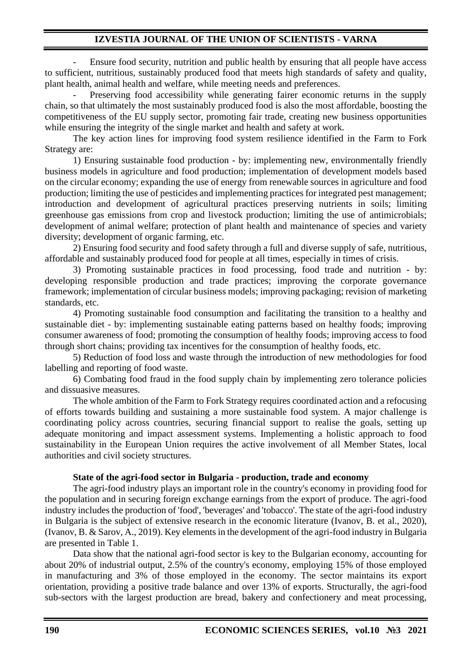Ensure food security, nutrition and public health by ensuring that all people have access to sufficient, nutritious, sustainably produced food that meets high standards of safety and quality, plant health, animal health and welfare, while meeting needs and preferences.

Preserving food accessibility while generating fairer economic returns in the supply chain, so that ultimately the most sustainably produced food is also the most affordable, boosting the competitiveness of the EU supply sector, promoting fair trade, creating new business opportunities while ensuring the integrity of the single market and health and safety at work.

The key action lines for improving food system resilience identified in the Farm to Fork Strategy are:

1) Ensuring sustainable food production - by: implementing new, environmentally friendly business models in agriculture and food production; implementation of development models based on the circular economy; expanding the use of energy from renewable sources in agriculture and food production; limiting the use of pesticides and implementing practices for integrated pest management; introduction and development of agricultural practices preserving nutrients in soils; limiting greenhouse gas emissions from crop and livestock production; limiting the use of antimicrobials; development of animal welfare; protection of plant health and maintenance of species and variety diversity; development of organic farming, etc.

2) Ensuring food security and food safety through a full and diverse supply of safe, nutritious, affordable and sustainably produced food for people at all times, especially in times of crisis.

3) Promoting sustainable practices in food processing, food trade and nutrition - by: developing responsible production and trade practices; improving the corporate governance framework; implementation of circular business models; improving packaging; revision of marketing standards, etc.

4) Promoting sustainable food consumption and facilitating the transition to a healthy and sustainable diet - by: implementing sustainable eating patterns based on healthy foods; improving consumer awareness of food; promoting the consumption of healthy foods; improving access to food through short chains; providing tax incentives for the consumption of healthy foods, etc.

5) Reduction of food loss and waste through the introduction of new methodologies for food labelling and reporting of food waste.

6) Combating food fraud in the food supply chain by implementing zero tolerance policies and dissuasive measures.

The whole ambition of the Farm to Fork Strategy requires coordinated action and a refocusing of efforts towards building and sustaining a more sustainable food system. A major challenge is coordinating policy across countries, securing financial support to realise the goals, setting up adequate monitoring and impact assessment systems. Implementing a holistic approach to food sustainability in the European Union requires the active involvement of all Member States, local authorities and civil society structures.

## **State of the agri-food sector in Bulgaria - production, trade and economy**

The agri-food industry plays an important role in the country's economy in providing food for the population and in securing foreign exchange earnings from the export of produce. The agri-food industry includes the production of 'food', 'beverages' and 'tobacco'. The state of the agri-food industry in Bulgaria is the subject of extensive research in the economic literature (Ivanov, B. et al., 2020), (Ivanov, B. & Sarov, A., 2019). Key elements in the development of the agri-food industry in Bulgaria are presented in Table 1.

Data show that the national agri-food sector is key to the Bulgarian economy, accounting for about 20% of industrial output, 2.5% of the country's economy, employing 15% of those employed in manufacturing and 3% of those employed in the economy. The sector maintains its export orientation, providing a positive trade balance and over 13% of exports. Structurally, the agri-food sub-sectors with the largest production are bread, bakery and confectionery and meat processing,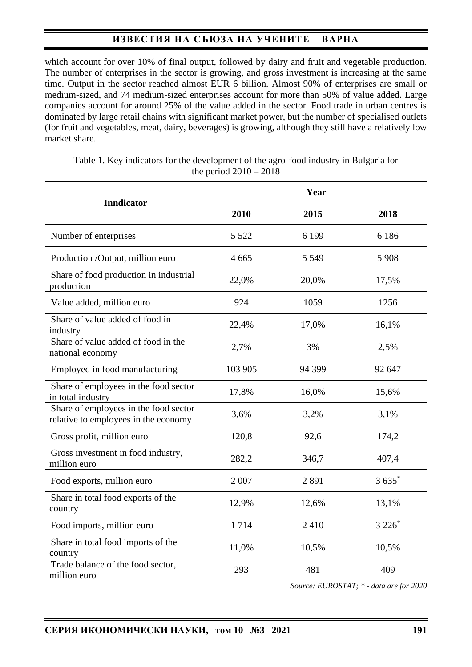which account for over 10% of final output, followed by dairy and fruit and vegetable production. The number of enterprises in the sector is growing, and gross investment is increasing at the same time. Output in the sector reached almost EUR 6 billion. Almost 90% of enterprises are small or medium-sized, and 74 medium-sized enterprises account for more than 50% of value added. Large companies account for around 25% of the value added in the sector. Food trade in urban centres is dominated by large retail chains with significant market power, but the number of specialised outlets (for fruit and vegetables, meat, dairy, beverages) is growing, although they still have a relatively low market share.

| <b>Inndicator</b>                                                             | Year    |         |         |
|-------------------------------------------------------------------------------|---------|---------|---------|
|                                                                               | 2010    | 2015    | 2018    |
| Number of enterprises                                                         | 5 5 2 2 | 6 1 9 9 | 6 1 8 6 |
| Production /Output, million euro                                              | 4 6 6 5 | 5 5 4 9 | 5 9 0 8 |
| Share of food production in industrial<br>production                          | 22,0%   | 20,0%   | 17,5%   |
| Value added, million euro                                                     | 924     | 1059    | 1256    |
| Share of value added of food in<br>industry                                   | 22,4%   | 17,0%   | 16,1%   |
| Share of value added of food in the<br>national economy                       | 2,7%    | 3%      | 2,5%    |
| Employed in food manufacturing                                                | 103 905 | 94 399  | 92 647  |
| Share of employees in the food sector<br>in total industry                    | 17,8%   | 16,0%   | 15,6%   |
| Share of employees in the food sector<br>relative to employees in the economy | 3,6%    | 3,2%    | 3,1%    |
| Gross profit, million euro                                                    | 120,8   | 92,6    | 174,2   |
| Gross investment in food industry,<br>million euro                            | 282,2   | 346,7   | 407,4   |
| Food exports, million euro                                                    | 2 0 0 7 | 2891    | $3635*$ |
| Share in total food exports of the<br>country                                 | 12,9%   | 12,6%   | 13,1%   |
| Food imports, million euro                                                    | 1714    | 2410    | $3226*$ |
| Share in total food imports of the<br>country                                 | 11,0%   | 10,5%   | 10,5%   |
| Trade balance of the food sector,<br>million euro                             | 293     | 481     | 409     |

Table 1. Key indicators for the development of the agro-food industry in Bulgaria for the period 2010 – 2018

*Source: EUROSTAT; \* - data are for 2020*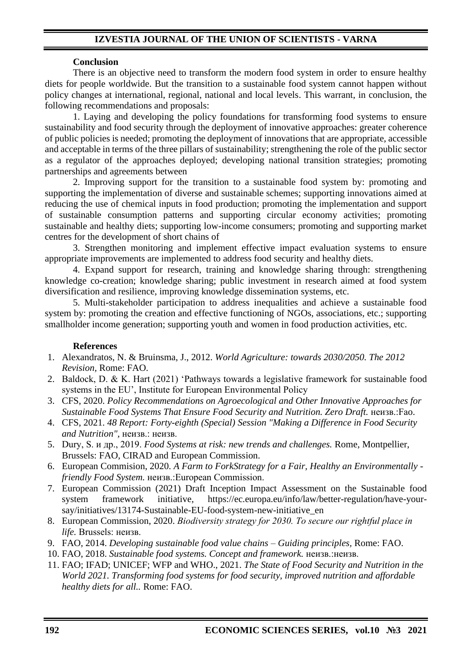## **Conclusion**

There is an objective need to transform the modern food system in order to ensure healthy diets for people worldwide. But the transition to a sustainable food system cannot happen without policy changes at international, regional, national and local levels. This warrant, in conclusion, the following recommendations and proposals:

1. Laying and developing the policy foundations for transforming food systems to ensure sustainability and food security through the deployment of innovative approaches: greater coherence of public policies is needed; promoting the deployment of innovations that are appropriate, accessible and acceptable in terms of the three pillars of sustainability; strengthening the role of the public sector as a regulator of the approaches deployed; developing national transition strategies; promoting partnerships and agreements between

2. Improving support for the transition to a sustainable food system by: promoting and supporting the implementation of diverse and sustainable schemes; supporting innovations aimed at reducing the use of chemical inputs in food production; promoting the implementation and support of sustainable consumption patterns and supporting circular economy activities; promoting sustainable and healthy diets; supporting low-income consumers; promoting and supporting market centres for the development of short chains of

3. Strengthen monitoring and implement effective impact evaluation systems to ensure appropriate improvements are implemented to address food security and healthy diets.

4. Expand support for research, training and knowledge sharing through: strengthening knowledge co-creation; knowledge sharing; public investment in research aimed at food system diversification and resilience, improving knowledge dissemination systems, etc.

5. Multi-stakeholder participation to address inequalities and achieve a sustainable food system by: promoting the creation and effective functioning of NGOs, associations, etc.; supporting smallholder income generation; supporting youth and women in food production activities, etc.

## **References**

- 1. Alexandratos, N. & Bruinsma, J., 2012. *World Agriculture: towards 2030/2050. The 2012 Revision,* Rome: FAO.
- 2. Baldock, D. & K. Hart (2021) 'Pathways towards a legislative framework for sustainable food systems in the EU', Institute for European Environmental Policy
- 3. CFS, 2020. *Policy Recommendations on Agroecological and Other Innovative Approaches for*  **Sustainable Food Systems That Ensure Food Security and Nutrition. Zero Draft. неизв.:Fao.**
- 4. CFS, 2021. *48 Report: Forty-eighth (Special) Session "Making a Difference in Food Security and Nutrition",* неизв.: неизв.
- 5. Dury, S. и др., 2019. *Food Systems at risk: new trends and challenges.* Rome, Montpellier, Brussels: FAO, CIRAD and European Commission.
- 6. European Commision, 2020. *A Farm to ForkStrategy for a Fair, Healthy an Environmentally friendly Food System.* неизв.:European Commission.
- 7. European Commission (2021) Draft Inception Impact Assessment on the Sustainable food system framework initiative, https://ec.europa.eu/info/law/better-regulation/have-yoursay/initiatives/13174-Sustainable-EU-food-system-new-initiative\_en
- 8. European Commission, 2020. *Biodiversity strategy for 2030. Тo secure our rightful place in life.* Brussels: неизв.
- 9. FAO, 2014. *Developing sustainable food value chains – Guiding principles,* Rome: FAO.
- 10. FAO, 2018. *Sustainable food systems. Concept and framework.* неизв.:неизв.
- 11. FAO; IFAD; UNICEF; WFP and WHO., 2021. *The State of Food Security and Nutrition in the World 2021. Transforming food systems for food security, improved nutrition and affordable healthy diets for all..* Rome: FAO.